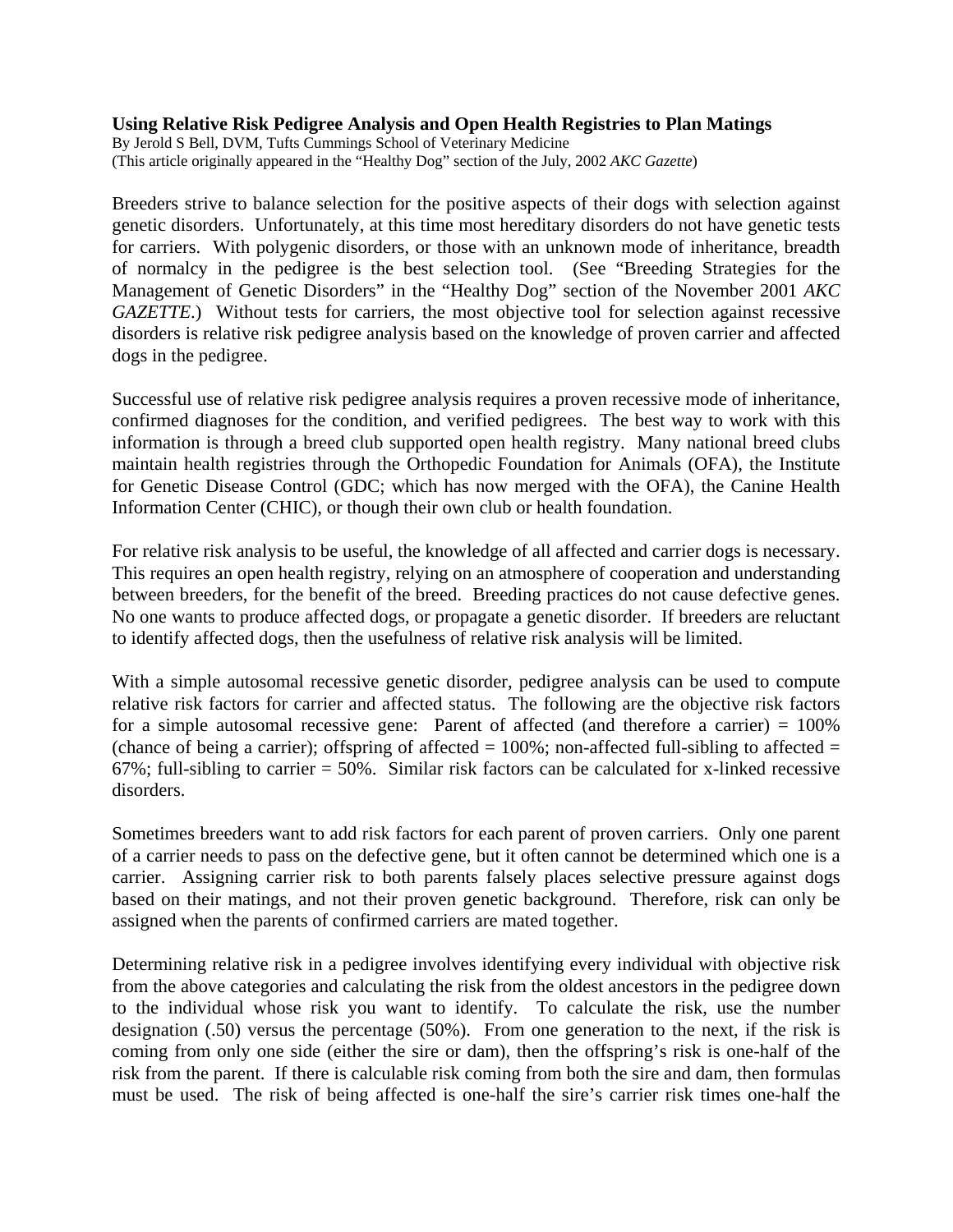## **Using Relative Risk Pedigree Analysis and Open Health Registries to Plan Matings**

By Jerold S Bell, DVM, Tufts Cummings School of Veterinary Medicine (This article originally appeared in the "Healthy Dog" section of the July, 2002 *AKC Gazette*)

Breeders strive to balance selection for the positive aspects of their dogs with selection against genetic disorders. Unfortunately, at this time most hereditary disorders do not have genetic tests for carriers. With polygenic disorders, or those with an unknown mode of inheritance, breadth of normalcy in the pedigree is the best selection tool. (See "Breeding Strategies for the Management of Genetic Disorders" in the "Healthy Dog" section of the November 2001 *AKC GAZETTE*.) Without tests for carriers, the most objective tool for selection against recessive disorders is relative risk pedigree analysis based on the knowledge of proven carrier and affected dogs in the pedigree.

Successful use of relative risk pedigree analysis requires a proven recessive mode of inheritance, confirmed diagnoses for the condition, and verified pedigrees. The best way to work with this information is through a breed club supported open health registry. Many national breed clubs maintain health registries through the Orthopedic Foundation for Animals (OFA), the Institute for Genetic Disease Control (GDC; which has now merged with the OFA), the Canine Health Information Center (CHIC), or though their own club or health foundation.

For relative risk analysis to be useful, the knowledge of all affected and carrier dogs is necessary. This requires an open health registry, relying on an atmosphere of cooperation and understanding between breeders, for the benefit of the breed. Breeding practices do not cause defective genes. No one wants to produce affected dogs, or propagate a genetic disorder. If breeders are reluctant to identify affected dogs, then the usefulness of relative risk analysis will be limited.

With a simple autosomal recessive genetic disorder, pedigree analysis can be used to compute relative risk factors for carrier and affected status. The following are the objective risk factors for a simple autosomal recessive gene: Parent of affected (and therefore a carrier)  $= 100\%$ (chance of being a carrier); offspring of affected  $= 100\%$ ; non-affected full-sibling to affected  $=$ 67%; full-sibling to carrier  $= 50\%$ . Similar risk factors can be calculated for x-linked recessive disorders.

Sometimes breeders want to add risk factors for each parent of proven carriers. Only one parent of a carrier needs to pass on the defective gene, but it often cannot be determined which one is a carrier. Assigning carrier risk to both parents falsely places selective pressure against dogs based on their matings, and not their proven genetic background. Therefore, risk can only be assigned when the parents of confirmed carriers are mated together.

Determining relative risk in a pedigree involves identifying every individual with objective risk from the above categories and calculating the risk from the oldest ancestors in the pedigree down to the individual whose risk you want to identify. To calculate the risk, use the number designation (.50) versus the percentage (50%). From one generation to the next, if the risk is coming from only one side (either the sire or dam), then the offspring's risk is one-half of the risk from the parent. If there is calculable risk coming from both the sire and dam, then formulas must be used. The risk of being affected is one-half the sire's carrier risk times one-half the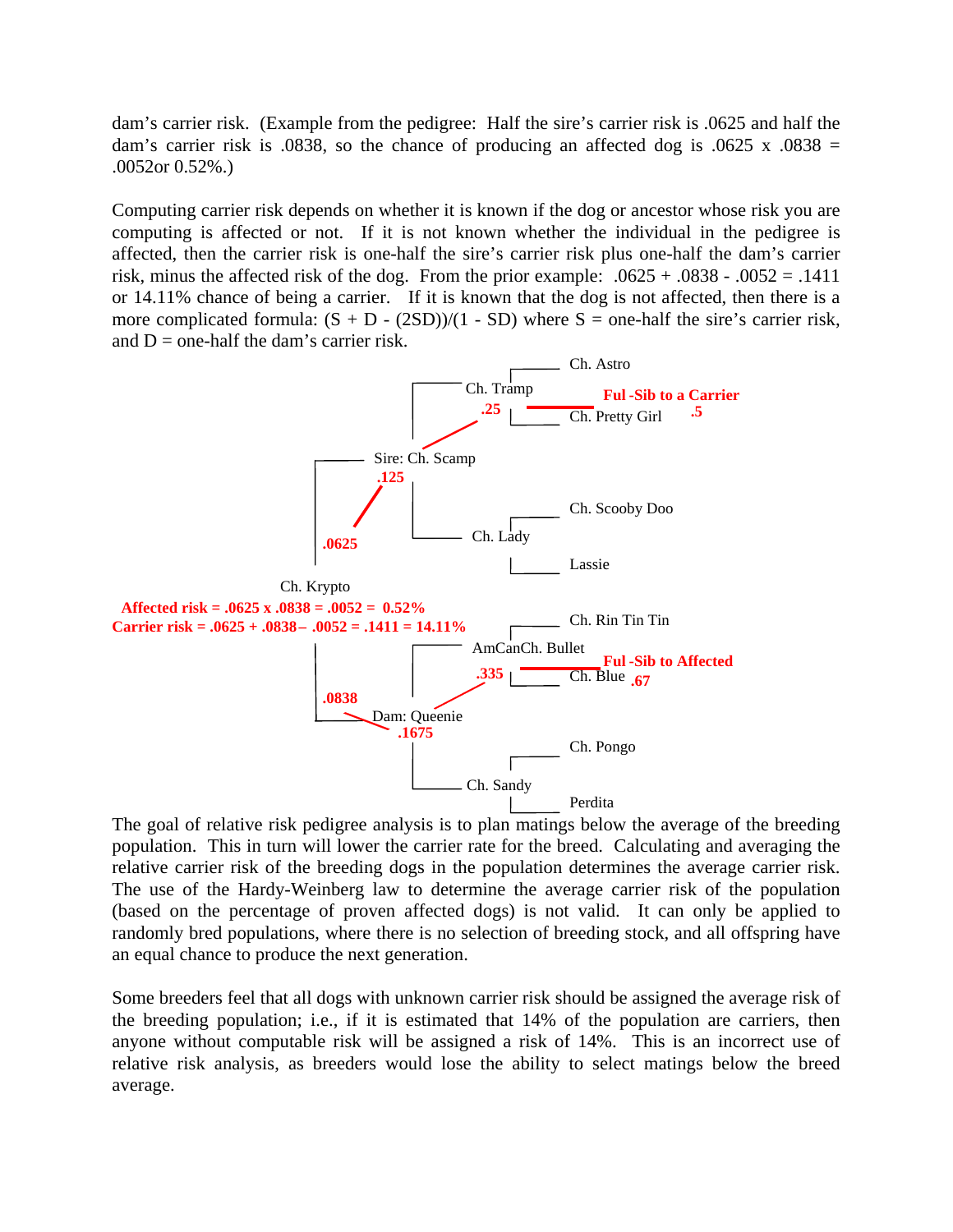dam's carrier risk. (Example from the pedigree: Half the sire's carrier risk is .0625 and half the dam's carrier risk is .0838, so the chance of producing an affected dog is .0625 x .0838 = .0052or 0.52%.)

Computing carrier risk depends on whether it is known if the dog or ancestor whose risk you are computing is affected or not. If it is not known whether the individual in the pedigree is affected, then the carrier risk is one-half the sire's carrier risk plus one-half the dam's carrier risk, minus the affected risk of the dog. From the prior example:  $.0625 + .0838 - .0052 = .1411$ or 14.11% chance of being a carrier. If it is known that the dog is not affected, then there is a more complicated formula:  $(S + D - (2SD))/(1 - SD)$  where  $S =$  one-half the sire's carrier risk, and  $D =$  one-half the dam's carrier risk.



The goal of relative risk pedigree analysis is to plan matings below the average of the breeding population. This in turn will lower the carrier rate for the breed. Calculating and averaging the relative carrier risk of the breeding dogs in the population determines the average carrier risk. The use of the Hardy-Weinberg law to determine the average carrier risk of the population (based on the percentage of proven affected dogs) is not valid. It can only be applied to randomly bred populations, where there is no selection of breeding stock, and all offspring have an equal chance to produce the next generation.

Some breeders feel that all dogs with unknown carrier risk should be assigned the average risk of the breeding population; i.e., if it is estimated that 14% of the population are carriers, then anyone without computable risk will be assigned a risk of 14%. This is an incorrect use of relative risk analysis, as breeders would lose the ability to select matings below the breed average.